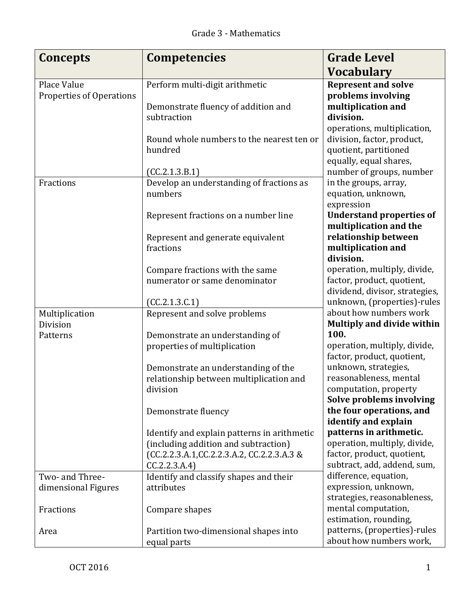| <b>Concepts</b>                         | <b>Competencies</b>                                        | <b>Grade Level</b>                                                           |
|-----------------------------------------|------------------------------------------------------------|------------------------------------------------------------------------------|
|                                         |                                                            | <b>Vocabulary</b>                                                            |
| Place Value<br>Properties of Operations | Perform multi-digit arithmetic                             | <b>Represent and solve</b><br>problems involving                             |
|                                         | Demonstrate fluency of addition and                        | multiplication and                                                           |
|                                         | subtraction                                                | division.<br>operations, multiplication,                                     |
|                                         | Round whole numbers to the nearest ten or<br>hundred       | division, factor, product,<br>quotient, partitioned                          |
|                                         | (CC.2.1.3.B.1)                                             | equally, equal shares,<br>number of groups, number                           |
| Fractions                               | Develop an understanding of fractions as                   | in the groups, array,                                                        |
|                                         | numbers                                                    | equation, unknown,<br>expression                                             |
|                                         | Represent fractions on a number line                       | <b>Understand properties of</b><br>multiplication and the                    |
|                                         | Represent and generate equivalent                          | relationship between                                                         |
|                                         | fractions                                                  | multiplication and<br>division.                                              |
|                                         | Compare fractions with the same                            | operation, multiply, divide,                                                 |
|                                         | numerator or same denominator                              | factor, product, quotient,<br>dividend, divisor, strategies,                 |
|                                         | (CC.2.1.3.C.1)                                             | unknown, (properties)-rules                                                  |
| Multiplication                          | Represent and solve problems                               | about how numbers work                                                       |
| Division<br>Patterns                    | Demonstrate an understanding of                            | <b>Multiply and divide within</b><br>100.                                    |
|                                         | properties of multiplication                               | operation, multiply, divide,                                                 |
|                                         | Demonstrate an understanding of the                        | factor, product, quotient,<br>unknown, strategies,                           |
|                                         | relationship between multiplication and                    | reasonableness, mental                                                       |
|                                         | division                                                   | computation, property                                                        |
|                                         | Demonstrate fluency                                        | Solve problems involving<br>the four operations, and<br>identify and explain |
|                                         | Identify and explain patterns in arithmetic                | patterns in arithmetic.                                                      |
|                                         | (including addition and subtraction)                       | operation, multiply, divide,<br>factor, product, quotient,                   |
|                                         | (CC.2.2.3.A.1,CC.2.2.3.A.2, CC.2.2.3.A.3 &<br>CC.2.2.3.A.4 | subtract, add, addend, sum,                                                  |
| Two- and Three-                         | Identify and classify shapes and their                     | difference, equation,                                                        |
| dimensional Figures                     | attributes                                                 | expression, unknown,<br>strategies, reasonableness,                          |
| Fractions                               | Compare shapes                                             | mental computation,<br>estimation, rounding,                                 |
| Area                                    | Partition two-dimensional shapes into<br>equal parts       | patterns, (properties)-rules<br>about how numbers work,                      |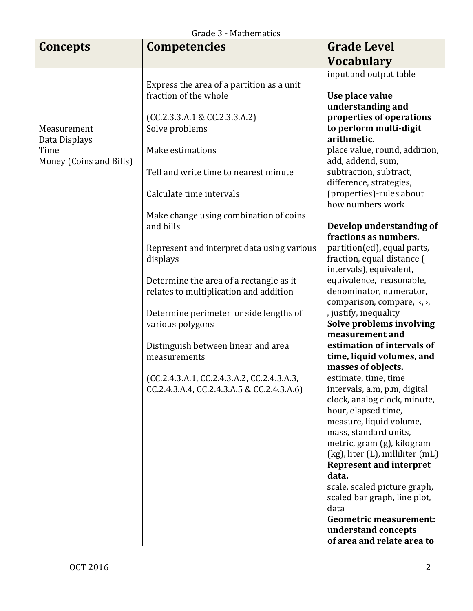| Graue 5 - Mathematics   |                                                        |                                                           |  |  |
|-------------------------|--------------------------------------------------------|-----------------------------------------------------------|--|--|
| <b>Concepts</b>         | <b>Competencies</b>                                    | <b>Grade Level</b>                                        |  |  |
|                         |                                                        | <b>Vocabulary</b>                                         |  |  |
|                         |                                                        | input and output table                                    |  |  |
|                         | Express the area of a partition as a unit              |                                                           |  |  |
|                         | fraction of the whole                                  | Use place value                                           |  |  |
|                         |                                                        | understanding and                                         |  |  |
|                         | (CC.2.3.3.A.1 & CC.2.3.3.A.2)                          | properties of operations                                  |  |  |
| Measurement             | Solve problems                                         | to perform multi-digit                                    |  |  |
| Data Displays           |                                                        | arithmetic.                                               |  |  |
| Time                    | Make estimations                                       | place value, round, addition,                             |  |  |
| Money (Coins and Bills) |                                                        | add, addend, sum,                                         |  |  |
|                         | Tell and write time to nearest minute                  | subtraction, subtract,                                    |  |  |
|                         |                                                        | difference, strategies,                                   |  |  |
|                         | Calculate time intervals                               | (properties)-rules about                                  |  |  |
|                         |                                                        | how numbers work                                          |  |  |
|                         | Make change using combination of coins                 |                                                           |  |  |
|                         | and bills                                              | Develop understanding of                                  |  |  |
|                         | Represent and interpret data using various<br>displays | fractions as numbers.                                     |  |  |
|                         |                                                        | partition(ed), equal parts,<br>fraction, equal distance ( |  |  |
|                         |                                                        | intervals), equivalent,                                   |  |  |
|                         | Determine the area of a rectangle as it                | equivalence, reasonable,                                  |  |  |
|                         | relates to multiplication and addition                 | denominator, numerator,                                   |  |  |
|                         |                                                        | comparison, compare, $\langle, \rangle$ , =               |  |  |
|                         | Determine perimeter or side lengths of                 | , justify, inequality                                     |  |  |
|                         | various polygons                                       | Solve problems involving                                  |  |  |
|                         |                                                        | measurement and                                           |  |  |
|                         | Distinguish between linear and area                    | estimation of intervals of                                |  |  |
|                         | measurements                                           | time, liquid volumes, and                                 |  |  |
|                         |                                                        | masses of objects.                                        |  |  |
|                         | (CC.2.4.3.A.1, CC.2.4.3.A.2, CC.2.4.3.A.3              | estimate, time, time                                      |  |  |
|                         | CC.2.4.3.A.4, CC.2.4.3.A.5 & CC.2.4.3.A.6)             | intervals, a.m, p.m, digital                              |  |  |
|                         |                                                        | clock, analog clock, minute,                              |  |  |
|                         |                                                        | hour, elapsed time,                                       |  |  |
|                         |                                                        | measure, liquid volume,                                   |  |  |
|                         |                                                        | mass, standard units,<br>metric, gram (g), kilogram       |  |  |
|                         |                                                        | (kg), liter (L), milliliter (mL)                          |  |  |
|                         |                                                        | <b>Represent and interpret</b>                            |  |  |
|                         |                                                        | data.                                                     |  |  |
|                         |                                                        | scale, scaled picture graph,                              |  |  |
|                         |                                                        | scaled bar graph, line plot,                              |  |  |
|                         |                                                        | data                                                      |  |  |
|                         |                                                        | <b>Geometric measurement:</b>                             |  |  |
|                         |                                                        | understand concepts                                       |  |  |
|                         |                                                        | of area and relate area to                                |  |  |